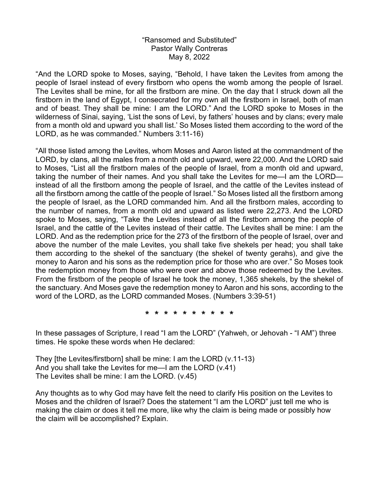## "Ransomed and Substituted" Pastor Wally Contreras May 8, 2022

"And the LORD spoke to Moses, saying, "Behold, I have taken the Levites from among the people of Israel instead of every firstborn who opens the womb among the people of Israel. The Levites shall be mine, for all the firstborn are mine. On the day that I struck down all the firstborn in the land of Egypt, I consecrated for my own all the firstborn in Israel, both of man and of beast. They shall be mine: I am the LORD." And the LORD spoke to Moses in the wilderness of Sinai, saying, 'List the sons of Levi, by fathers' houses and by clans; every male from a month old and upward you shall list.' So Moses listed them according to the word of the LORD, as he was commanded." Numbers 3:11-16)

"All those listed among the Levites, whom Moses and Aaron listed at the commandment of the LORD, by clans, all the males from a month old and upward, were 22,000. And the LORD said to Moses, "List all the firstborn males of the people of Israel, from a month old and upward, taking the number of their names. And you shall take the Levites for me—I am the LORD instead of all the firstborn among the people of Israel, and the cattle of the Levites instead of all the firstborn among the cattle of the people of Israel." So Moses listed all the firstborn among the people of Israel, as the LORD commanded him. And all the firstborn males, according to the number of names, from a month old and upward as listed were 22,273. And the LORD spoke to Moses, saying, "Take the Levites instead of all the firstborn among the people of Israel, and the cattle of the Levites instead of their cattle. The Levites shall be mine: I am the LORD. And as the redemption price for the 273 of the firstborn of the people of Israel, over and above the number of the male Levites, you shall take five shekels per head; you shall take them according to the shekel of the sanctuary (the shekel of twenty gerahs), and give the money to Aaron and his sons as the redemption price for those who are over." So Moses took the redemption money from those who were over and above those redeemed by the Levites. From the firstborn of the people of Israel he took the money, 1,365 shekels, by the shekel of the sanctuary. And Moses gave the redemption money to Aaron and his sons, according to the word of the LORD, as the LORD commanded Moses. (Numbers 3:39-51)

**\* \* \* \* \* \* \* \* \* \*** 

In these passages of Scripture, I read "I am the LORD" (Yahweh, or Jehovah - "I AM") three times. He spoke these words when He declared:

They [the Levites/firstborn] shall be mine: I am the LORD (v.11-13) And you shall take the Levites for me—I am the LORD (v.41) The Levites shall be mine: I am the LORD. (v.45)

Any thoughts as to why God may have felt the need to clarify His position on the Levites to Moses and the children of Israel? Does the statement "I am the LORD" just tell me who is making the claim or does it tell me more, like why the claim is being made or possibly how the claim will be accomplished? Explain.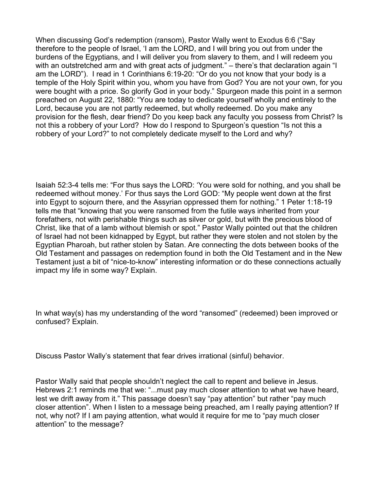When discussing God's redemption (ransom), Pastor Wally went to Exodus 6:6 ("Say therefore to the people of Israel, 'I am the LORD, and I will bring you out from under the burdens of the Egyptians, and I will deliver you from slavery to them, and I will redeem you with an outstretched arm and with great acts of judgment." – there's that declaration again "I am the LORD"). I read in 1 Corinthians 6:19-20: "Or do you not know that your body is a temple of the Holy Spirit within you, whom you have from God? You are not your own, for you were bought with a price. So glorify God in your body." Spurgeon made this point in a sermon preached on August 22, 1880: "You are today to dedicate yourself wholly and entirely to the Lord, because you are not partly redeemed, but wholly redeemed. Do you make any provision for the flesh, dear friend? Do you keep back any faculty you possess from Christ? Is not this a robbery of your Lord? How do I respond to Spurgeon's question "Is not this a robbery of your Lord?" to not completely dedicate myself to the Lord and why?

Isaiah 52:3-4 tells me: "For thus says the LORD: 'You were sold for nothing, and you shall be redeemed without money.' For thus says the Lord GOD: "My people went down at the first into Egypt to sojourn there, and the Assyrian oppressed them for nothing." 1 Peter 1:18-19 tells me that "knowing that you were ransomed from the futile ways inherited from your forefathers, not with perishable things such as silver or gold, but with the precious blood of Christ, like that of a lamb without blemish or spot." Pastor Wally pointed out that the children of Israel had not been kidnapped by Egypt, but rather they were stolen and not stolen by the Egyptian Pharoah, but rather stolen by Satan. Are connecting the dots between books of the Old Testament and passages on redemption found in both the Old Testament and in the New Testament just a bit of "nice-to-know" interesting information or do these connections actually impact my life in some way? Explain.

In what way(s) has my understanding of the word "ransomed" (redeemed) been improved or confused? Explain.

Discuss Pastor Wally's statement that fear drives irrational (sinful) behavior.

Pastor Wally said that people shouldn't neglect the call to repent and believe in Jesus. Hebrews 2:1 reminds me that we: "...must pay much closer attention to what we have heard, lest we drift away from it." This passage doesn't say "pay attention" but rather "pay much closer attention". When I listen to a message being preached, am I really paying attention? If not, why not? If I am paying attention, what would it require for me to "pay much closer attention" to the message?